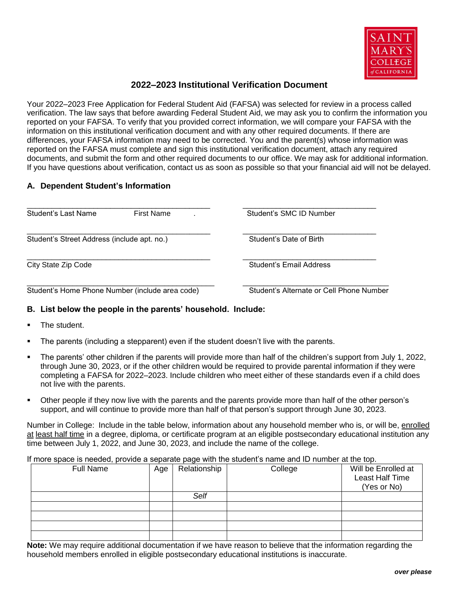

## **2022–2023 Institutional Verification Document**

Your 2022–2023 Free Application for Federal Student Aid (FAFSA) was selected for review in a process called verification. The law says that before awarding Federal Student Aid, we may ask you to confirm the information you reported on your FAFSA. To verify that you provided correct information, we will compare your FAFSA with the information on this institutional verification document and with any other required documents. If there are differences, your FAFSA information may need to be corrected. You and the parent(s) whose information was reported on the FAFSA must complete and sign this institutional verification document, attach any required documents, and submit the form and other required documents to our office. We may ask for additional information. If you have questions about verification, contact us as soon as possible so that your financial aid will not be delayed.

## **A. Dependent Student's Information**

| Student's Last Name                             | <b>First Name</b> | Student's SMC ID Number                  |  |
|-------------------------------------------------|-------------------|------------------------------------------|--|
| Student's Street Address (include apt. no.)     |                   | Student's Date of Birth                  |  |
| City State Zip Code                             |                   | Student's Email Address                  |  |
| Student's Home Phone Number (include area code) |                   | Student's Alternate or Cell Phone Number |  |

## **B. List below the people in the parents' household. Include:**

- The student.
- The parents (including a stepparent) even if the student doesn't live with the parents.
- The parents' other children if the parents will provide more than half of the children's support from July 1, 2022, through June 30, 2023, or if the other children would be required to provide parental information if they were completing a FAFSA for 2022–2023. Include children who meet either of these standards even if a child does not live with the parents.
- Other people if they now live with the parents and the parents provide more than half of the other person's support, and will continue to provide more than half of that person's support through June 30, 2023.

Number in College: Include in the table below, information about any household member who is, or will be, enrolled at least half time in a degree, diploma, or certificate program at an eligible postsecondary educational institution any time between July 1, 2022, and June 30, 2023, and include the name of the college.

If more space is needed, provide a separate page with the student's name and ID number at the top.

| <b>Full Name</b> | Age | Relationship | College | Will be Enrolled at<br>Least Half Time |
|------------------|-----|--------------|---------|----------------------------------------|
|                  |     |              |         | (Yes or No)                            |
|                  |     | Self         |         |                                        |
|                  |     |              |         |                                        |
|                  |     |              |         |                                        |
|                  |     |              |         |                                        |
|                  |     |              |         |                                        |

**Note:** We may require additional documentation if we have reason to believe that the information regarding the household members enrolled in eligible postsecondary educational institutions is inaccurate.